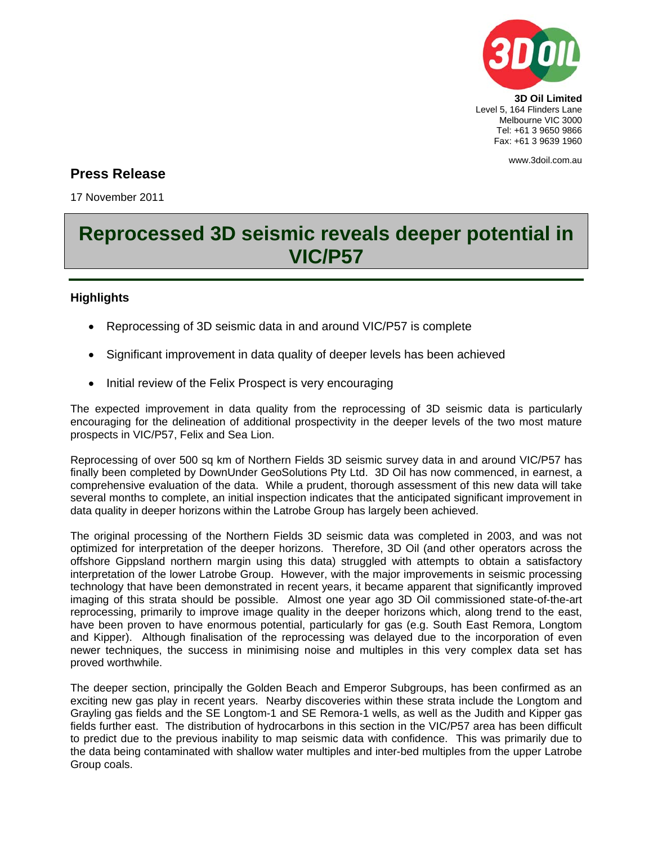

## www.3doil.com.au

## **Press Release**

17 November 2011

## **Reprocessed 3D seismic reveals deeper potential in VIC/P57**

## **Highlights**

- Reprocessing of 3D seismic data in and around VIC/P57 is complete
- Significant improvement in data quality of deeper levels has been achieved
- Initial review of the Felix Prospect is very encouraging

The expected improvement in data quality from the reprocessing of 3D seismic data is particularly encouraging for the delineation of additional prospectivity in the deeper levels of the two most mature prospects in VIC/P57, Felix and Sea Lion.

Reprocessing of over 500 sq km of Northern Fields 3D seismic survey data in and around VIC/P57 has finally been completed by DownUnder GeoSolutions Pty Ltd. 3D Oil has now commenced, in earnest, a comprehensive evaluation of the data. While a prudent, thorough assessment of this new data will take several months to complete, an initial inspection indicates that the anticipated significant improvement in data quality in deeper horizons within the Latrobe Group has largely been achieved.

The original processing of the Northern Fields 3D seismic data was completed in 2003, and was not optimized for interpretation of the deeper horizons. Therefore, 3D Oil (and other operators across the offshore Gippsland northern margin using this data) struggled with attempts to obtain a satisfactory interpretation of the lower Latrobe Group. However, with the major improvements in seismic processing technology that have been demonstrated in recent years, it became apparent that significantly improved imaging of this strata should be possible. Almost one year ago 3D Oil commissioned state-of-the-art reprocessing, primarily to improve image quality in the deeper horizons which, along trend to the east, have been proven to have enormous potential, particularly for gas (e.g. South East Remora, Longtom and Kipper). Although finalisation of the reprocessing was delayed due to the incorporation of even newer techniques, the success in minimising noise and multiples in this very complex data set has proved worthwhile.

The deeper section, principally the Golden Beach and Emperor Subgroups, has been confirmed as an exciting new gas play in recent years. Nearby discoveries within these strata include the Longtom and Grayling gas fields and the SE Longtom-1 and SE Remora-1 wells, as well as the Judith and Kipper gas fields further east. The distribution of hydrocarbons in this section in the VIC/P57 area has been difficult to predict due to the previous inability to map seismic data with confidence. This was primarily due to the data being contaminated with shallow water multiples and inter-bed multiples from the upper Latrobe Group coals.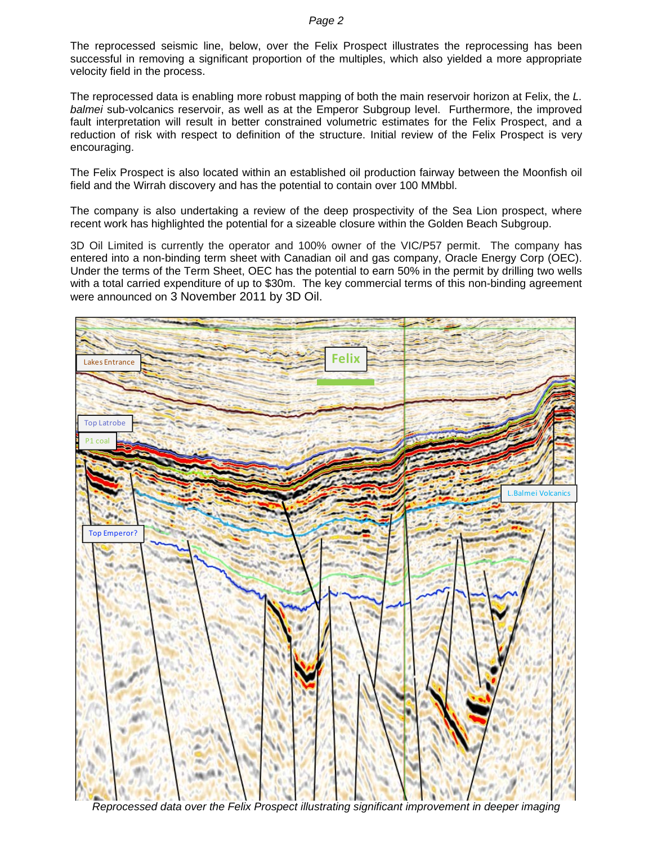The reprocessed seismic line, below, over the Felix Prospect illustrates the reprocessing has been successful in removing a significant proportion of the multiples, which also yielded a more appropriate velocity field in the process.

The reprocessed data is enabling more robust mapping of both the main reservoir horizon at Felix, the *L. balmei* sub-volcanics reservoir, as well as at the Emperor Subgroup level. Furthermore, the improved fault interpretation will result in better constrained volumetric estimates for the Felix Prospect, and a reduction of risk with respect to definition of the structure. Initial review of the Felix Prospect is very encouraging.

The Felix Prospect is also located within an established oil production fairway between the Moonfish oil field and the Wirrah discovery and has the potential to contain over 100 MMbbl.

The company is also undertaking a review of the deep prospectivity of the Sea Lion prospect, where recent work has highlighted the potential for a sizeable closure within the Golden Beach Subgroup.

3D Oil Limited is currently the operator and 100% owner of the VIC/P57 permit. The company has entered into a non-binding term sheet with Canadian oil and gas company, Oracle Energy Corp (OEC). Under the terms of the Term Sheet, OEC has the potential to earn 50% in the permit by drilling two wells with a total carried expenditure of up to \$30m. The key commercial terms of this non-binding agreement were announced on 3 November 2011 by 3D Oil.



*Reprocessed data over the Felix Prospect illustrating significant improvement in deeper imaging*